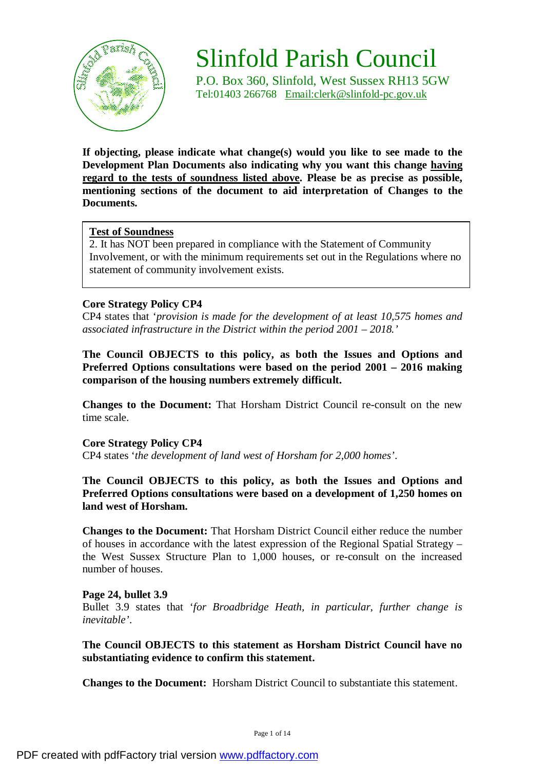

# Slinfold Parish Council

P.O. Box 360, Slinfold, West Sussex RH13 5GW Tel:01403 266768 [Email:clerk@slinfold-pc.gov.uk](mailto:Email:clerk@slinfold-pc.gov.uk)

**If objecting, please indicate what change(s) would you like to see made to the Development Plan Documents also indicating why you want this change having regard to the tests of soundness listed above. Please be as precise as possible, mentioning sections of the document to aid interpretation of Changes to the Documents.** 

# **Test of Soundness**

2. It has NOT been prepared in compliance with the Statement of Community Involvement, or with the minimum requirements set out in the Regulations where no statement of community involvement exists.

# **Core Strategy Policy CP4**

CP4 states that '*provision is made for the development of at least 10,575 homes and associated infrastructure in the District within the period 2001 – 2018.'* 

**The Council OBJECTS to this policy, as both the Issues and Options and Preferred Options consultations were based on the period 2001 – 2016 making comparison of the housing numbers extremely difficult.** 

**Changes to the Document:** That Horsham District Council re-consult on the new time scale.

# **Core Strategy Policy CP4**

CP4 states '*the development of land west of Horsham for 2,000 homes'*.

**The Council OBJECTS to this policy, as both the Issues and Options and Preferred Options consultations were based on a development of 1,250 homes on land west of Horsham.** 

**Changes to the Document:** That Horsham District Council either reduce the number of houses in accordance with the latest expression of the Regional Spatial Strategy – the West Sussex Structure Plan to 1,000 houses, or re-consult on the increased number of houses.

# **Page 24, bullet 3.9**

Bullet 3.9 states that '*for Broadbridge Heath, in particular, further change is inevitable'*.

**The Council OBJECTS to this statement as Horsham District Council have no substantiating evidence to confirm this statement.** 

**Changes to the Document:** Horsham District Council to substantiate this statement.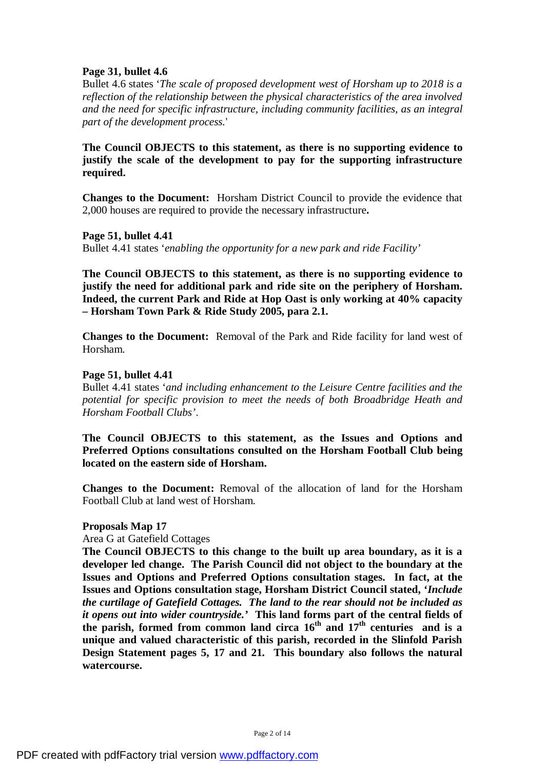# **Page 31, bullet 4.6**

Bullet 4.6 states '*The scale of proposed development west of Horsham up to 2018 is a reflection of the relationship between the physical characteristics of the area involved and the need for specific infrastructure, including community facilities, as an integral part of the development process.*'

# **The Council OBJECTS to this statement, as there is no supporting evidence to justify the scale of the development to pay for the supporting infrastructure required.**

**Changes to the Document:** Horsham District Council to provide the evidence that 2,000 houses are required to provide the necessary infrastructure**.** 

**Page 51, bullet 4.41** 

Bullet 4.41 states '*enabling the opportunity for a new park and ride Facility'* 

**The Council OBJECTS to this statement, as there is no supporting evidence to justify the need for additional park and ride site on the periphery of Horsham. Indeed, the current Park and Ride at Hop Oast is only working at 40% capacity – Horsham Town Park & Ride Study 2005, para 2.1.** 

**Changes to the Document:** Removal of the Park and Ride facility for land west of Horsham.

## **Page 51, bullet 4.41**

Bullet 4.41 states '*and including enhancement to the Leisure Centre facilities and the potential for specific provision to meet the needs of both Broadbridge Heath and Horsham Football Clubs'*.

**The Council OBJECTS to this statement, as the Issues and Options and Preferred Options consultations consulted on the Horsham Football Club being located on the eastern side of Horsham.** 

**Changes to the Document:** Removal of the allocation of land for the Horsham Football Club at land west of Horsham.

#### **Proposals Map 17**

Area G at Gatefield Cottages

**The Council OBJECTS to this change to the built up area boundary, as it is a developer led change. The Parish Council did not object to the boundary at the Issues and Options and Preferred Options consultation stages. In fact, at the Issues and Options consultation stage, Horsham District Council stated, '***Include the curtilage of Gatefield Cottages. The land to the rear should not be included as it opens out into wider countryside.'* **This land forms part of the central fields of the parish, formed from common land circa 16th and 17th centuries and is a unique and valued characteristic of this parish, recorded in the Slinfold Parish Design Statement pages 5, 17 and 21. This boundary also follows the natural watercourse.**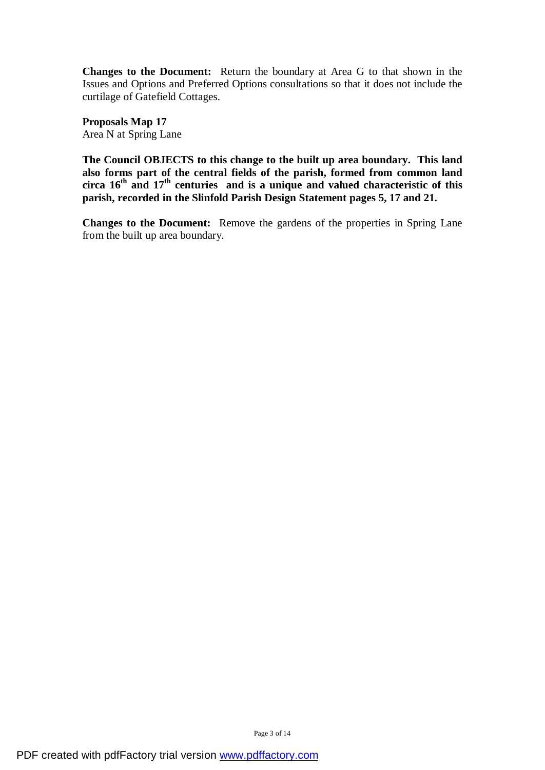**Changes to the Document:** Return the boundary at Area G to that shown in the Issues and Options and Preferred Options consultations so that it does not include the curtilage of Gatefield Cottages.

**Proposals Map 17**  Area N at Spring Lane

**The Council OBJECTS to this change to the built up area boundary. This land also forms part of the central fields of the parish, formed from common land circa 16th and 17th centuries and is a unique and valued characteristic of this parish, recorded in the Slinfold Parish Design Statement pages 5, 17 and 21.** 

**Changes to the Document:** Remove the gardens of the properties in Spring Lane from the built up area boundary.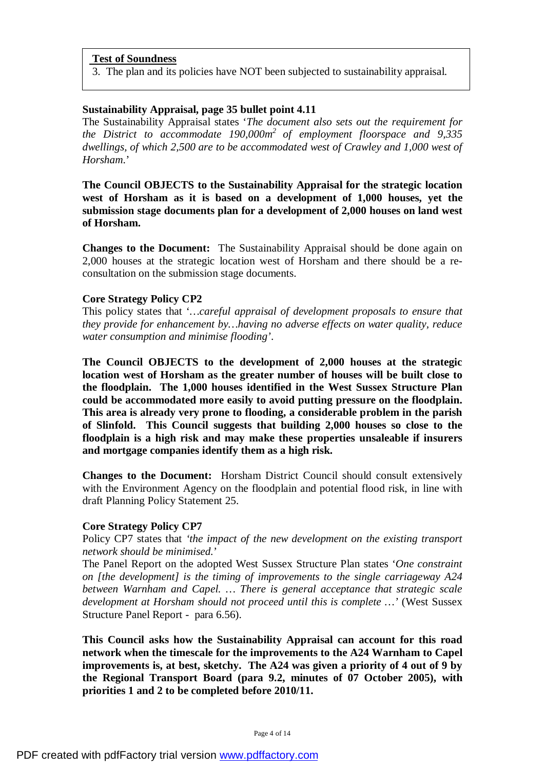3. The plan and its policies have NOT been subjected to sustainability appraisal.

# **Sustainability Appraisal, page 35 bullet point 4.11**

The Sustainability Appraisal states '*The document also sets out the requirement for the District to accommodate 190,000m<sup>2</sup> of employment floorspace and 9,335 dwellings, of which 2,500 are to be accommodated west of Crawley and 1,000 west of Horsham*.'

**The Council OBJECTS to the Sustainability Appraisal for the strategic location west of Horsham as it is based on a development of 1,000 houses, yet the submission stage documents plan for a development of 2,000 houses on land west of Horsham.** 

**Changes to the Document:** The Sustainability Appraisal should be done again on 2,000 houses at the strategic location west of Horsham and there should be a reconsultation on the submission stage documents.

# **Core Strategy Policy CP2**

This policy states that '*…careful appraisal of development proposals to ensure that they provide for enhancement by…having no adverse effects on water quality, reduce water consumption and minimise flooding'*.

**The Council OBJECTS to the development of 2,000 houses at the strategic location west of Horsham as the greater number of houses will be built close to the floodplain. The 1,000 houses identified in the West Sussex Structure Plan could be accommodated more easily to avoid putting pressure on the floodplain. This area is already very prone to flooding, a considerable problem in the parish of Slinfold. This Council suggests that building 2,000 houses so close to the floodplain is a high risk and may make these properties unsaleable if insurers and mortgage companies identify them as a high risk.** 

**Changes to the Document:** Horsham District Council should consult extensively with the Environment Agency on the floodplain and potential flood risk, in line with draft Planning Policy Statement 25.

#### **Core Strategy Policy CP7**

Policy CP7 states that *'the impact of the new development on the existing transport network should be minimised.*'

The Panel Report on the adopted West Sussex Structure Plan states '*One constraint on [the development] is the timing of improvements to the single carriageway A24 between Warnham and Capel. … There is general acceptance that strategic scale development at Horsham should not proceed until this is complete …'* (West Sussex Structure Panel Report - para 6.56).

**This Council asks how the Sustainability Appraisal can account for this road network when the timescale for the improvements to the A24 Warnham to Capel improvements is, at best, sketchy. The A24 was given a priority of 4 out of 9 by the Regional Transport Board (para 9.2, minutes of 07 October 2005), with priorities 1 and 2 to be completed before 2010/11.**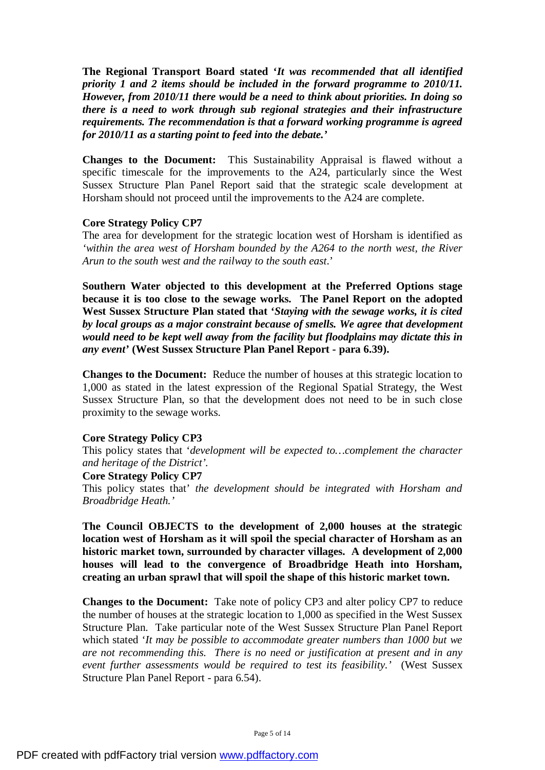**The Regional Transport Board stated '***It was recommended that all identified priority 1 and 2 items should be included in the forward programme to 2010/11. However, from 2010/11 there would be a need to think about priorities. In doing so there is a need to work through sub regional strategies and their infrastructure requirements. The recommendation is that a forward working programme is agreed for 2010/11 as a starting point to feed into the debate.'* 

**Changes to the Document:** This Sustainability Appraisal is flawed without a specific timescale for the improvements to the A24, particularly since the West Sussex Structure Plan Panel Report said that the strategic scale development at Horsham should not proceed until the improvements to the A24 are complete.

#### **Core Strategy Policy CP7**

The area for development for the strategic location west of Horsham is identified as *'within the area west of Horsham bounded by the A264 to the north west, the River Arun to the south west and the railway to the south east*.'

**Southern Water objected to this development at the Preferred Options stage because it is too close to the sewage works. The Panel Report on the adopted West Sussex Structure Plan stated that '***Staying with the sewage works, it is cited by local groups as a major constraint because of smells. We agree that development would need to be kept well away from the facility but floodplains may dictate this in any event'* **(West Sussex Structure Plan Panel Report - para 6.39).**

**Changes to the Document:** Reduce the number of houses at this strategic location to 1,000 as stated in the latest expression of the Regional Spatial Strategy, the West Sussex Structure Plan, so that the development does not need to be in such close proximity to the sewage works.

#### **Core Strategy Policy CP3**

This policy states that '*development will be expected to…complement the character and heritage of the District'.* 

#### **Core Strategy Policy CP7**

This policy states that' *the development should be integrated with Horsham and Broadbridge Heath.'* 

**The Council OBJECTS to the development of 2,000 houses at the strategic location west of Horsham as it will spoil the special character of Horsham as an historic market town, surrounded by character villages. A development of 2,000 houses will lead to the convergence of Broadbridge Heath into Horsham, creating an urban sprawl that will spoil the shape of this historic market town.** 

**Changes to the Document:** Take note of policy CP3 and alter policy CP7 to reduce the number of houses at the strategic location to 1,000 as specified in the West Sussex Structure Plan. Take particular note of the West Sussex Structure Plan Panel Report which stated '*It may be possible to accommodate greater numbers than 1000 but we are not recommending this. There is no need or justification at present and in any event further assessments would be required to test its feasibility.'* (West Sussex Structure Plan Panel Report - para 6.54).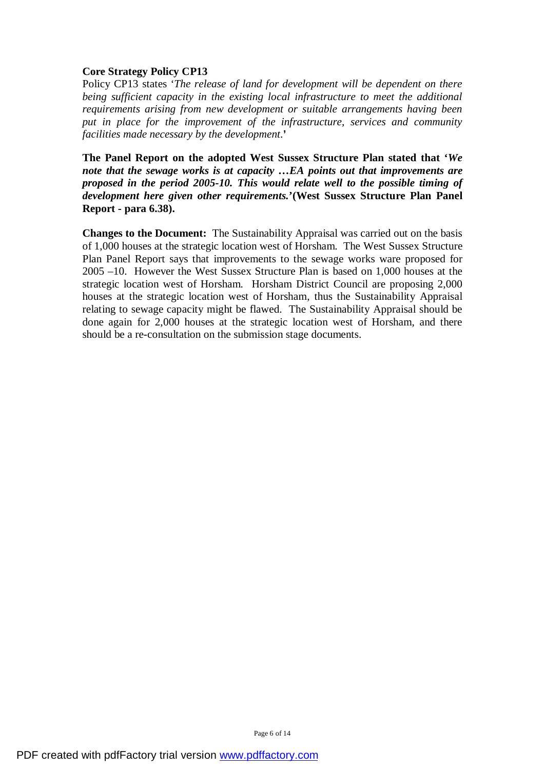# **Core Strategy Policy CP13**

Policy CP13 states '*The release of land for development will be dependent on there being sufficient capacity in the existing local infrastructure to meet the additional requirements arising from new development or suitable arrangements having been put in place for the improvement of the infrastructure, services and community facilities made necessary by the development*.**'** 

**The Panel Report on the adopted West Sussex Structure Plan stated that '***We note that the sewage works is at capacity …EA points out that improvements are proposed in the period 2005-10. This would relate well to the possible timing of development here given other requirements.***'(West Sussex Structure Plan Panel Report - para 6.38).**

**Changes to the Document:** The Sustainability Appraisal was carried out on the basis of 1,000 houses at the strategic location west of Horsham. The West Sussex Structure Plan Panel Report says that improvements to the sewage works ware proposed for 2005 –10. However the West Sussex Structure Plan is based on 1,000 houses at the strategic location west of Horsham. Horsham District Council are proposing 2,000 houses at the strategic location west of Horsham, thus the Sustainability Appraisal relating to sewage capacity might be flawed. The Sustainability Appraisal should be done again for 2,000 houses at the strategic location west of Horsham, and there should be a re-consultation on the submission stage documents.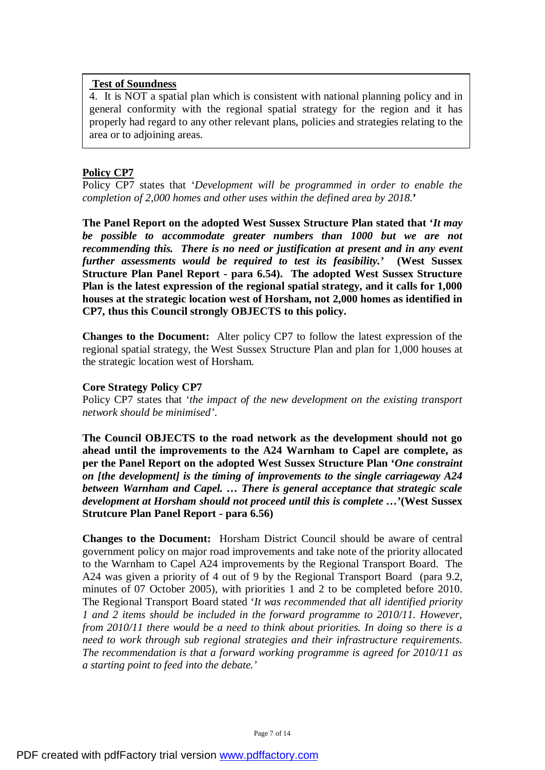4. It is NOT a spatial plan which is consistent with national planning policy and in general conformity with the regional spatial strategy for the region and it has properly had regard to any other relevant plans, policies and strategies relating to the area or to adjoining areas.

# **Policy CP7**

Policy CP7 states that '*Development will be programmed in order to enable the completion of 2,000 homes and other uses within the defined area by 2018.***'** 

**The Panel Report on the adopted West Sussex Structure Plan stated that '***It may be possible to accommodate greater numbers than 1000 but we are not recommending this. There is no need or justification at present and in any event further assessments would be required to test its feasibility.'* **(West Sussex Structure Plan Panel Report - para 6.54).****The adopted West Sussex Structure Plan is the latest expression of the regional spatial strategy, and it calls for 1,000 houses at the strategic location west of Horsham, not 2,000 homes as identified in CP7, thus this Council strongly OBJECTS to this policy.** 

**Changes to the Document:** Alter policy CP7 to follow the latest expression of the regional spatial strategy, the West Sussex Structure Plan and plan for 1,000 houses at the strategic location west of Horsham.

# **Core Strategy Policy CP7**

Policy CP7 states that '*the impact of the new development on the existing transport network should be minimised'*.

**The Council OBJECTS to the road network as the development should not go ahead until the improvements to the A24 Warnham to Capel are complete, as per the Panel Report on the adopted West Sussex Structure Plan '***One constraint on [the development] is the timing of improvements to the single carriageway A24 between Warnham and Capel. … There is general acceptance that strategic scale development at Horsham should not proceed until this is complete …***'(West Sussex Strutcure Plan Panel Report - para 6.56)** 

**Changes to the Document:** Horsham District Council should be aware of central government policy on major road improvements and take note of the priority allocated to the Warnham to Capel A24 improvements by the Regional Transport Board. The A24 was given a priority of 4 out of 9 by the Regional Transport Board (para 9.2, minutes of 07 October 2005), with priorities 1 and 2 to be completed before 2010. The Regional Transport Board stated '*It was recommended that all identified priority 1 and 2 items should be included in the forward programme to 2010/11. However, from 2010/11 there would be a need to think about priorities. In doing so there is a need to work through sub regional strategies and their infrastructure requirements. The recommendation is that a forward working programme is agreed for 2010/11 as a starting point to feed into the debate.'*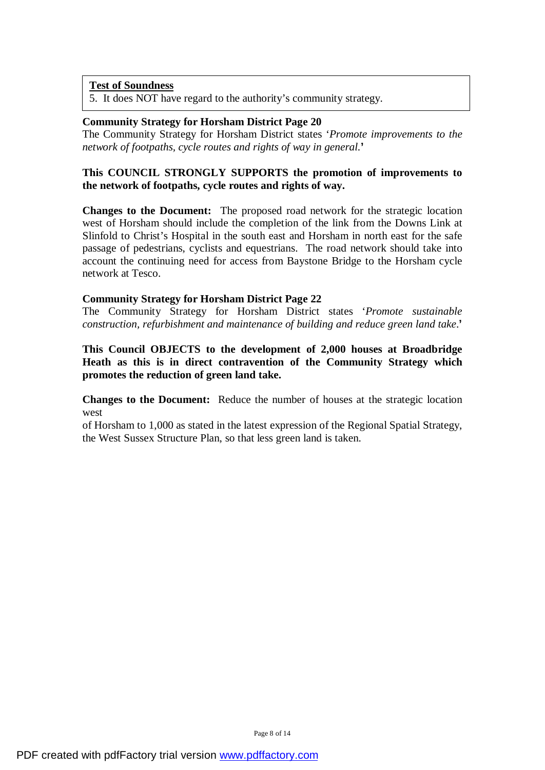5. It does NOT have regard to the authority's community strategy.

## **Community Strategy for Horsham District Page 20**

The Community Strategy for Horsham District states '*Promote improvements to the network of footpaths, cycle routes and rights of way in general.***'** 

# **This COUNCIL STRONGLY SUPPORTS the promotion of improvements to the network of footpaths, cycle routes and rights of way.**

**Changes to the Document:** The proposed road network for the strategic location west of Horsham should include the completion of the link from the Downs Link at Slinfold to Christ's Hospital in the south east and Horsham in north east for the safe passage of pedestrians, cyclists and equestrians. The road network should take into account the continuing need for access from Baystone Bridge to the Horsham cycle network at Tesco.

## **Community Strategy for Horsham District Page 22**

The Community Strategy for Horsham District states '*Promote sustainable construction, refurbishment and maintenance of building and reduce green land take*.**'** 

# **This Council OBJECTS to the development of 2,000 houses at Broadbridge Heath as this is in direct contravention of the Community Strategy which promotes the reduction of green land take.**

**Changes to the Document:** Reduce the number of houses at the strategic location west

of Horsham to 1,000 as stated in the latest expression of the Regional Spatial Strategy, the West Sussex Structure Plan, so that less green land is taken.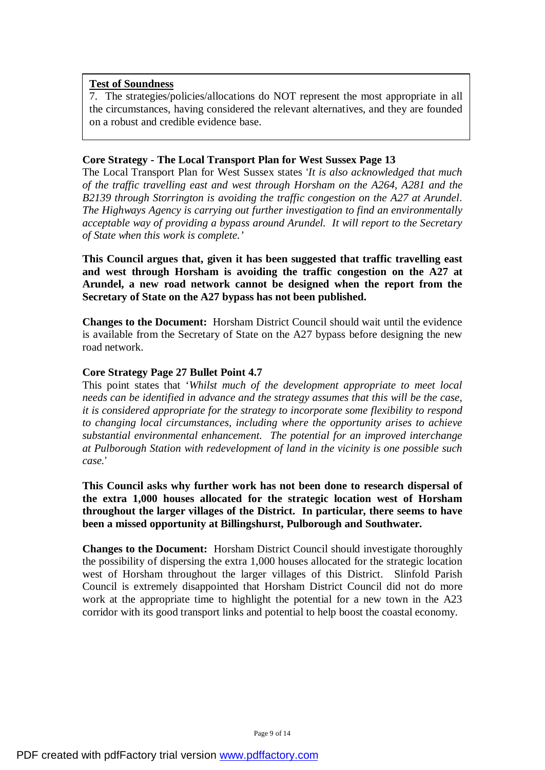7. The strategies/policies/allocations do NOT represent the most appropriate in all the circumstances, having considered the relevant alternatives, and they are founded on a robust and credible evidence base.

# **Core Strategy - The Local Transport Plan for West Sussex Page 13**

The Local Transport Plan for West Sussex states '*It is also acknowledged that much of the traffic travelling east and west through Horsham on the A264, A281 and the B2139 through Storrington is avoiding the traffic congestion on the A27 at Arundel*. *The Highways Agency is carrying out further investigation to find an environmentally acceptable way of providing a bypass around Arundel. It will report to the Secretary of State when this work is complete.'* 

**This Council argues that, given it has been suggested that traffic travelling east and west through Horsham is avoiding the traffic congestion on the A27 at Arundel, a new road network cannot be designed when the report from the Secretary of State on the A27 bypass has not been published.** 

**Changes to the Document:** Horsham District Council should wait until the evidence is available from the Secretary of State on the A27 bypass before designing the new road network.

# **Core Strategy Page 27 Bullet Point 4.7**

This point states that '*Whilst much of the development appropriate to meet local needs can be identified in advance and the strategy assumes that this will be the case, it is considered appropriate for the strategy to incorporate some flexibility to respond to changing local circumstances, including where the opportunity arises to achieve substantial environmental enhancement. The potential for an improved interchange at Pulborough Station with redevelopment of land in the vicinity is one possible such case.*'

**This Council asks why further work has not been done to research dispersal of the extra 1,000 houses allocated for the strategic location west of Horsham throughout the larger villages of the District. In particular, there seems to have been a missed opportunity at Billingshurst, Pulborough and Southwater.** 

**Changes to the Document:** Horsham District Council should investigate thoroughly the possibility of dispersing the extra 1,000 houses allocated for the strategic location west of Horsham throughout the larger villages of this District. Slinfold Parish Council is extremely disappointed that Horsham District Council did not do more work at the appropriate time to highlight the potential for a new town in the A23 corridor with its good transport links and potential to help boost the coastal economy.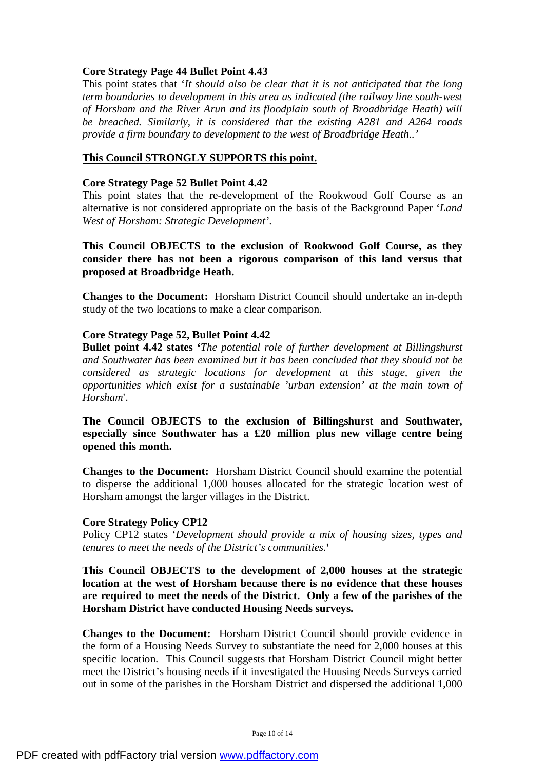# **Core Strategy Page 44 Bullet Point 4.43**

This point states that '*It should also be clear that it is not anticipated that the long term boundaries to development in this area as indicated (the railway line south-west of Horsham and the River Arun and its floodplain south of Broadbridge Heath) will be breached. Similarly, it is considered that the existing A281 and A264 roads provide a firm boundary to development to the west of Broadbridge Heath..'* 

# **This Council STRONGLY SUPPORTS this point.**

#### **Core Strategy Page 52 Bullet Point 4.42**

This point states that the re-development of the Rookwood Golf Course as an alternative is not considered appropriate on the basis of the Background Paper '*Land West of Horsham: Strategic Development'*.

**This Council OBJECTS to the exclusion of Rookwood Golf Course, as they consider there has not been a rigorous comparison of this land versus that proposed at Broadbridge Heath.** 

**Changes to the Document:** Horsham District Council should undertake an in-depth study of the two locations to make a clear comparison.

## **Core Strategy Page 52, Bullet Point 4.42**

**Bullet point 4.42 states '***The potential role of further development at Billingshurst and Southwater has been examined but it has been concluded that they should not be considered as strategic locations for development at this stage, given the opportunities which exist for a sustainable 'urban extension' at the main town of Horsham*'.

**The Council OBJECTS to the exclusion of Billingshurst and Southwater, especially since Southwater has a £20 million plus new village centre being opened this month.** 

**Changes to the Document:** Horsham District Council should examine the potential to disperse the additional 1,000 houses allocated for the strategic location west of Horsham amongst the larger villages in the District.

#### **Core Strategy Policy CP12**

Policy CP12 states '*Development should provide a mix of housing sizes, types and tenures to meet the needs of the District's communities*.**'** 

**This Council OBJECTS to the development of 2,000 houses at the strategic location at the west of Horsham because there is no evidence that these houses are required to meet the needs of the District. Only a few of the parishes of the Horsham District have conducted Housing Needs surveys.** 

**Changes to the Document:** Horsham District Council should provide evidence in the form of a Housing Needs Survey to substantiate the need for 2,000 houses at this specific location. This Council suggests that Horsham District Council might better meet the District's housing needs if it investigated the Housing Needs Surveys carried out in some of the parishes in the Horsham District and dispersed the additional 1,000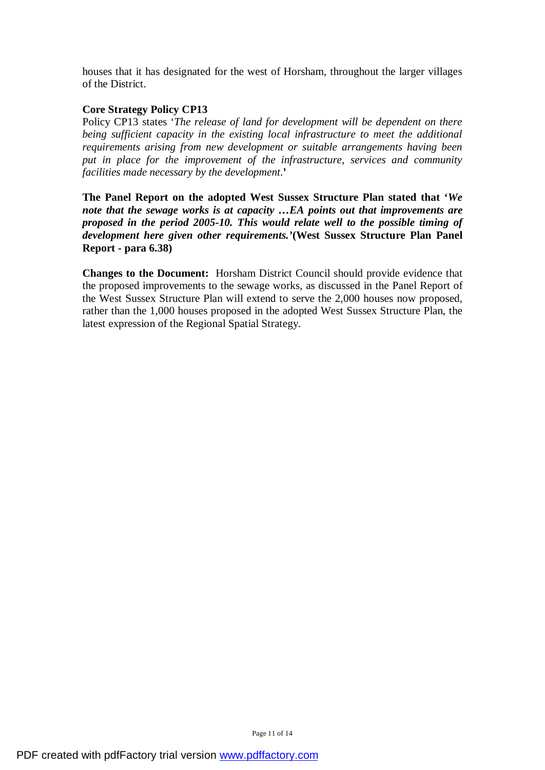houses that it has designated for the west of Horsham, throughout the larger villages of the District.

# **Core Strategy Policy CP13**

Policy CP13 states '*The release of land for development will be dependent on there being sufficient capacity in the existing local infrastructure to meet the additional requirements arising from new development or suitable arrangements having been put in place for the improvement of the infrastructure, services and community facilities made necessary by the development*.**'** 

**The Panel Report on the adopted West Sussex Structure Plan stated that '***We note that the sewage works is at capacity …EA points out that improvements are proposed in the period 2005-10. This would relate well to the possible timing of development here given other requirements.'***(West Sussex Structure Plan Panel Report - para 6.38)**

**Changes to the Document:** Horsham District Council should provide evidence that the proposed improvements to the sewage works, as discussed in the Panel Report of the West Sussex Structure Plan will extend to serve the 2,000 houses now proposed, rather than the 1,000 houses proposed in the adopted West Sussex Structure Plan, the latest expression of the Regional Spatial Strategy.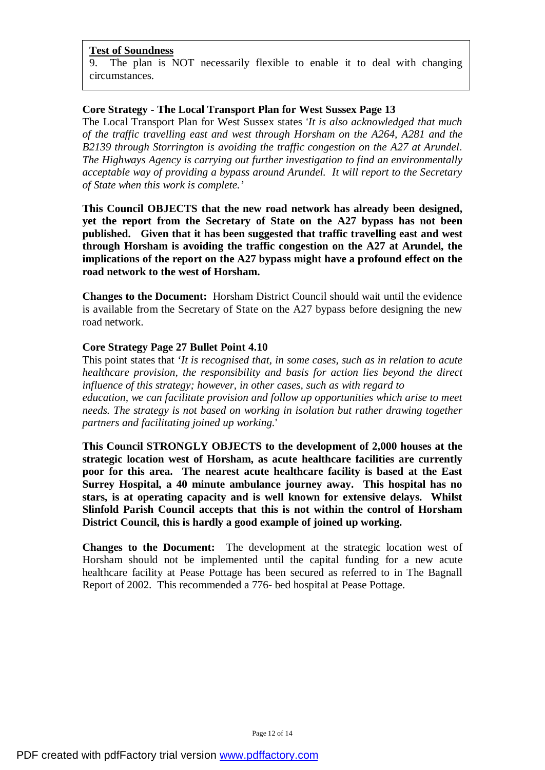9. The plan is NOT necessarily flexible to enable it to deal with changing circumstances.

## **Core Strategy - The Local Transport Plan for West Sussex Page 13**

The Local Transport Plan for West Sussex states '*It is also acknowledged that much of the traffic travelling east and west through Horsham on the A264, A281 and the B2139 through Storrington is avoiding the traffic congestion on the A27 at Arundel*. *The Highways Agency is carrying out further investigation to find an environmentally acceptable way of providing a bypass around Arundel. It will report to the Secretary of State when this work is complete.'* 

**This Council OBJECTS that the new road network has already been designed, yet the report from the Secretary of State on the A27 bypass has not been published. Given that it has been suggested that traffic travelling east and west through Horsham is avoiding the traffic congestion on the A27 at Arundel, the implications of the report on the A27 bypass might have a profound effect on the road network to the west of Horsham.** 

**Changes to the Document:** Horsham District Council should wait until the evidence is available from the Secretary of State on the A27 bypass before designing the new road network.

## **Core Strategy Page 27 Bullet Point 4.10**

This point states that '*It is recognised that, in some cases, such as in relation to acute healthcare provision, the responsibility and basis for action lies beyond the direct influence of this strategy; however, in other cases, such as with regard to education, we can facilitate provision and follow up opportunities which arise to meet needs. The strategy is not based on working in isolation but rather drawing together partners and facilitating joined up working.*'

**This Council STRONGLY OBJECTS to the development of 2,000 houses at the strategic location west of Horsham, as acute healthcare facilities are currently poor for this area. The nearest acute healthcare facility is based at the East Surrey Hospital, a 40 minute ambulance journey away. This hospital has no stars, is at operating capacity and is well known for extensive delays. Whilst Slinfold Parish Council accepts that this is not within the control of Horsham District Council, this is hardly a good example of joined up working.** 

**Changes to the Document:** The development at the strategic location west of Horsham should not be implemented until the capital funding for a new acute healthcare facility at Pease Pottage has been secured as referred to in The Bagnall Report of 2002. This recommended a 776- bed hospital at Pease Pottage.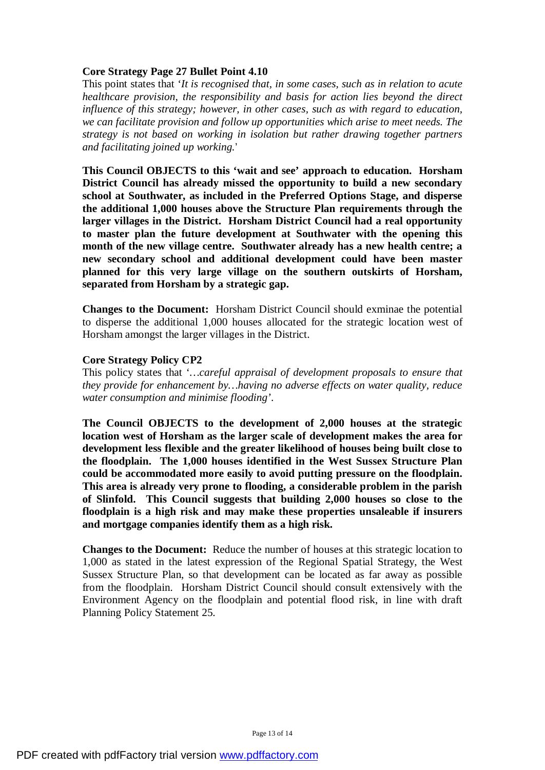## **Core Strategy Page 27 Bullet Point 4.10**

This point states that '*It is recognised that, in some cases, such as in relation to acute healthcare provision, the responsibility and basis for action lies beyond the direct influence of this strategy; however, in other cases, such as with regard to education, we can facilitate provision and follow up opportunities which arise to meet needs. The strategy is not based on working in isolation but rather drawing together partners and facilitating joined up working.*'

**This Council OBJECTS to this 'wait and see' approach to education. Horsham District Council has already missed the opportunity to build a new secondary school at Southwater, as included in the Preferred Options Stage, and disperse the additional 1,000 houses above the Structure Plan requirements through the larger villages in the District. Horsham District Council had a real opportunity to master plan the future development at Southwater with the opening this month of the new village centre. Southwater already has a new health centre; a new secondary school and additional development could have been master planned for this very large village on the southern outskirts of Horsham, separated from Horsham by a strategic gap.** 

**Changes to the Document:** Horsham District Council should exminae the potential to disperse the additional 1,000 houses allocated for the strategic location west of Horsham amongst the larger villages in the District.

## **Core Strategy Policy CP2**

This policy states that '*…careful appraisal of development proposals to ensure that they provide for enhancement by…having no adverse effects on water quality, reduce water consumption and minimise flooding'*.

**The Council OBJECTS to the development of 2,000 houses at the strategic location west of Horsham as the larger scale of development makes the area for development less flexible and the greater likelihood of houses being built close to the floodplain. The 1,000 houses identified in the West Sussex Structure Plan could be accommodated more easily to avoid putting pressure on the floodplain. This area is already very prone to flooding, a considerable problem in the parish of Slinfold. This Council suggests that building 2,000 houses so close to the floodplain is a high risk and may make these properties unsaleable if insurers and mortgage companies identify them as a high risk.** 

**Changes to the Document:** Reduce the number of houses at this strategic location to 1,000 as stated in the latest expression of the Regional Spatial Strategy, the West Sussex Structure Plan, so that development can be located as far away as possible from the floodplain. Horsham District Council should consult extensively with the Environment Agency on the floodplain and potential flood risk, in line with draft Planning Policy Statement 25.